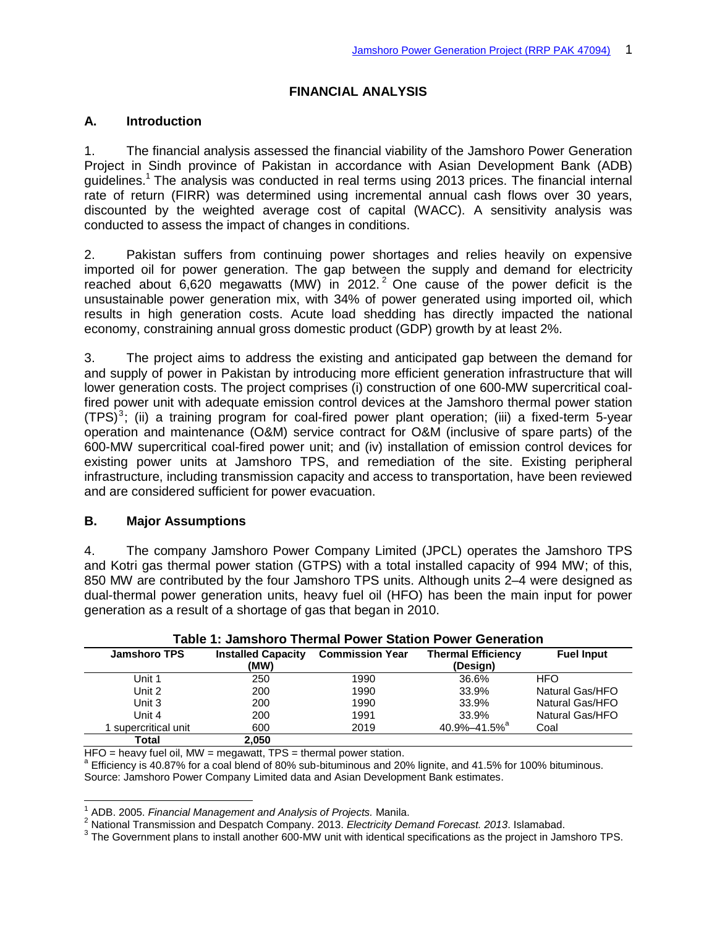# **FINANCIAL ANALYSIS**

## **A. Introduction**

1. The financial analysis assessed the financial viability of the Jamshoro Power Generation Project in Sindh province of Pakistan in accordance with Asian Development Bank (ADB) guidelines.<sup>1</sup> The analysis was conducted in real terms using 2013 prices. The financial internal rate of return (FIRR) was determined using incremental annual cash flows over 30 years, discounted by the weighted average cost of capital (WACC). A sensitivity analysis was conducted to assess the impact of changes in conditions.

2. Pakistan suffers from continuing power shortages and relies heavily on expensive imported oil for power generation. The gap between the supply and demand for electricity reached about 6,620 megawatts (MW) in 2012.<sup>2</sup> One cause of the power deficit is the unsustainable power generation mix, with 34% of power generated using imported oil, which results in high generation costs. Acute load shedding has directly impacted the national economy, constraining annual gross domestic product (GDP) growth by at least 2%.

3. The project aims to address the existing and anticipated gap between the demand for and supply of power in Pakistan by introducing more efficient generation infrastructure that will lower generation costs. The project comprises (i) construction of one 600-MW supercritical coalfired power unit with adequate emission control devices at the Jamshoro thermal power station  $(TPS)^3$ ; (ii) a training program for coal-fired power plant operation; (iii) a fixed-term 5-year operation and maintenance (O&M) service contract for O&M (inclusive of spare parts) of the 600-MW supercritical coal-fired power unit; and (iv) installation of emission control devices for existing power units at Jamshoro TPS, and remediation of the site. Existing peripheral infrastructure, including transmission capacity and access to transportation, have been reviewed and are considered sufficient for power evacuation.

## **B. Major Assumptions**

j

4. The company Jamshoro Power Company Limited (JPCL) operates the Jamshoro TPS and Kotri gas thermal power station (GTPS) with a total installed capacity of 994 MW; of this, 850 MW are contributed by the four Jamshoro TPS units. Although units 2–4 were designed as dual-thermal power generation units, heavy fuel oil (HFO) has been the main input for power generation as a result of a shortage of gas that began in 2010.

| Table T. Jamshoro Thermal Fower Station Fower Generation |                           |                                                     |                          |                   |  |  |
|----------------------------------------------------------|---------------------------|-----------------------------------------------------|--------------------------|-------------------|--|--|
| <b>Jamshoro TPS</b>                                      | <b>Installed Capacity</b> | <b>Thermal Efficiency</b><br><b>Commission Year</b> |                          | <b>Fuel Input</b> |  |  |
|                                                          | (MW)                      |                                                     | (Design)                 |                   |  |  |
| Unit 1                                                   | 250                       | 1990                                                | 36.6%                    | <b>HFO</b>        |  |  |
| Unit 2                                                   | 200                       | 1990                                                | 33.9%                    | Natural Gas/HFO   |  |  |
| Unit 3                                                   | 200                       | 1990                                                | 33.9%                    | Natural Gas/HFO   |  |  |
| Unit 4                                                   | 200                       | 1991                                                | 33.9%                    | Natural Gas/HFO   |  |  |
| I supercritical unit                                     | 600                       | 2019                                                | 40.9%-41.5% <sup>a</sup> | Coal              |  |  |
| Total                                                    | 2,050                     |                                                     |                          |                   |  |  |

|  | <b>Table 1: Jamshoro Thermal Power Station Power Generation</b> |  |
|--|-----------------------------------------------------------------|--|
|--|-----------------------------------------------------------------|--|

HFO = heavy fuel oil, MW = megawatt, TPS = thermal power station.

<sup>a</sup> Efficiency is 40.87% for a coal blend of 80% sub-bituminous and 20% lignite, and 41.5% for 100% bituminous. Source: Jamshoro Power Company Limited data and Asian Development Bank estimates.

<sup>1</sup> ADB. 2005. *Financial Management and Analysis of Projects.* Manila.

<sup>2</sup> National Transmission and Despatch Company. 2013. *Electricity Demand Forecast. 2013*. Islamabad.

 $3$  The Government plans to install another 600-MW unit with identical specifications as the project in Jamshoro TPS.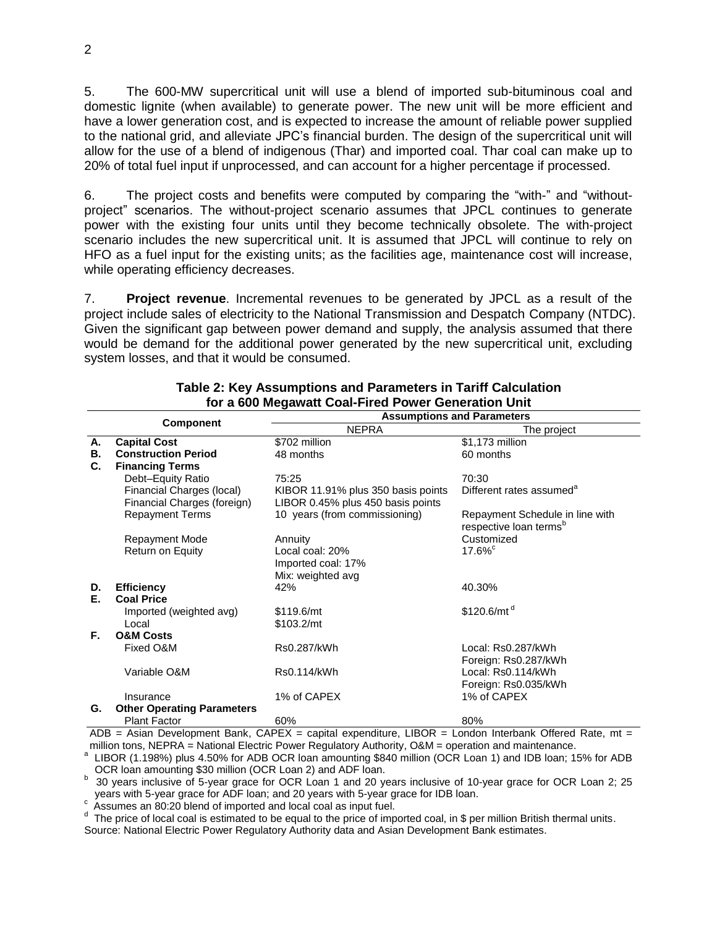5. The 600-MW supercritical unit will use a blend of imported sub-bituminous coal and domestic lignite (when available) to generate power. The new unit will be more efficient and have a lower generation cost, and is expected to increase the amount of reliable power supplied to the national grid, and alleviate JPC's financial burden. The design of the supercritical unit will allow for the use of a blend of indigenous (Thar) and imported coal. Thar coal can make up to 20% of total fuel input if unprocessed, and can account for a higher percentage if processed.

6. The project costs and benefits were computed by comparing the "with-" and "withoutproject" scenarios. The without-project scenario assumes that JPCL continues to generate power with the existing four units until they become technically obsolete. The with-project scenario includes the new supercritical unit. It is assumed that JPCL will continue to rely on HFO as a fuel input for the existing units; as the facilities age, maintenance cost will increase, while operating efficiency decreases.

7. **Project revenue**. Incremental revenues to be generated by JPCL as a result of the project include sales of electricity to the National Transmission and Despatch Company (NTDC). Given the significant gap between power demand and supply, the analysis assumed that there would be demand for the additional power generated by the new supercritical unit, excluding system losses, and that it would be consumed.

|    |                                   | <b>Assumptions and Parameters</b>  |                                      |  |  |
|----|-----------------------------------|------------------------------------|--------------------------------------|--|--|
|    | <b>Component</b>                  | <b>NEPRA</b>                       | The project                          |  |  |
| А. | <b>Capital Cost</b>               | \$702 million                      | \$1,173 million                      |  |  |
| В. | <b>Construction Period</b>        | 48 months                          | 60 months                            |  |  |
| C. | <b>Financing Terms</b>            |                                    |                                      |  |  |
|    | Debt-Equity Ratio                 | 75:25                              | 70:30                                |  |  |
|    | Financial Charges (local)         | KIBOR 11.91% plus 350 basis points | Different rates assumed <sup>a</sup> |  |  |
|    | Financial Charges (foreign)       | LIBOR 0.45% plus 450 basis points  |                                      |  |  |
|    | <b>Repayment Terms</b>            | 10 years (from commissioning)      | Repayment Schedule in line with      |  |  |
|    |                                   |                                    | respective loan terms <sup>b</sup>   |  |  |
|    | <b>Repayment Mode</b>             | Annuity                            | Customized                           |  |  |
|    | Return on Equity                  | Local coal: 20%                    | $17.6\%$                             |  |  |
|    |                                   | Imported coal: 17%                 |                                      |  |  |
|    |                                   | Mix: weighted avg                  |                                      |  |  |
| D. | <b>Efficiency</b>                 | 42%                                | 40.30%                               |  |  |
| Е. | <b>Coal Price</b>                 |                                    |                                      |  |  |
|    | Imported (weighted avg)           | \$119.6/mt                         | \$120.6/mt <sup>d</sup>              |  |  |
|    | Local                             | \$103.2/mt                         |                                      |  |  |
| F. | <b>O&amp;M Costs</b>              |                                    |                                      |  |  |
|    | Fixed O&M                         | Rs0.287/kWh                        | Local: Rs0.287/kWh                   |  |  |
|    |                                   |                                    | Foreign: Rs0.287/kWh                 |  |  |
|    | Variable O&M                      | Rs0.114/kWh                        | Local: Rs0.114/kWh                   |  |  |
|    |                                   |                                    | Foreign: Rs0.035/kWh                 |  |  |
|    | Insurance                         | 1% of CAPEX                        | 1% of CAPEX                          |  |  |
| G. | <b>Other Operating Parameters</b> |                                    |                                      |  |  |
|    | <b>Plant Factor</b>               | 60%                                | 80%                                  |  |  |

#### **Table 2: Key Assumptions and Parameters in Tariff Calculation for a 600 Megawatt Coal-Fired Power Generation Unit**

ADB = Asian Development Bank, CAPEX = capital expenditure, LIBOR = London Interbank Offered Rate, mt = million tons, NEPRA = National Electric Power Regulatory Authority, O&M = operation and maintenance.

<sup>a</sup> LIBOR (1.198%) plus 4.50% for ADB OCR loan amounting \$840 million (OCR Loan 1) and IDB loan; 15% for ADB OCR loan amounting \$30 million (OCR Loan 2) and ADF loan.

<sup>b</sup> 30 years inclusive of 5-year grace for OCR Loan 1 and 20 years inclusive of 10-year grace for OCR Loan 2; 25 years with 5-year grace for ADF loan; and 20 years with 5-year grace for IDB loan.

reals with 3-year grace for ADF foart, and 20 years with 3-year grace is a state of imported and local coal as input fuel.

 $d$  The price of local coal is estimated to be equal to the price of imported coal, in \$ per million British thermal units. Source: National Electric Power Regulatory Authority data and Asian Development Bank estimates.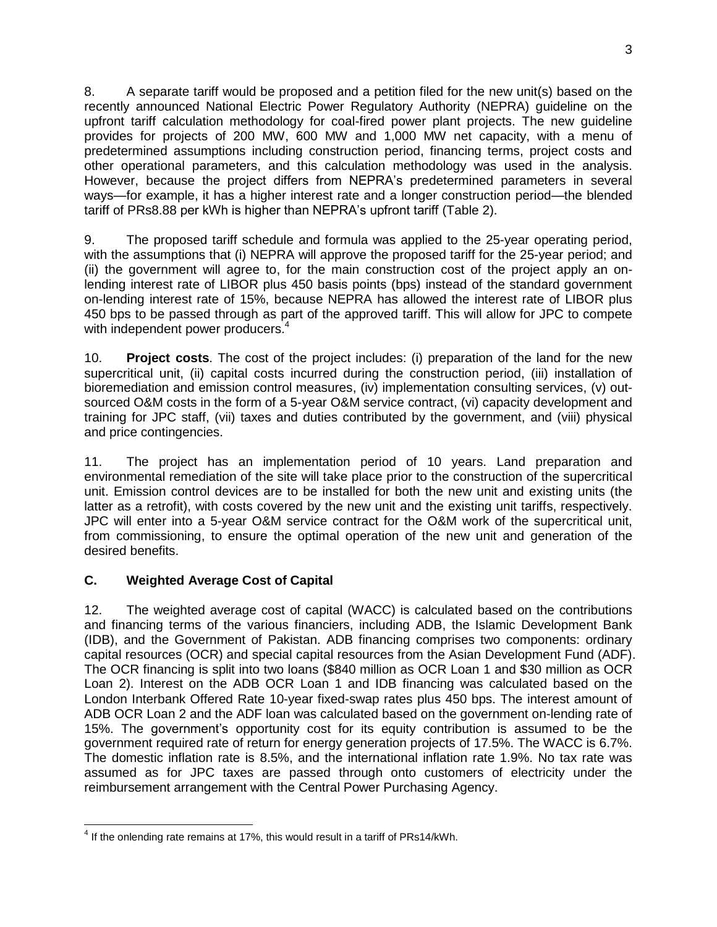8. A separate tariff would be proposed and a petition filed for the new unit(s) based on the recently announced National Electric Power Regulatory Authority (NEPRA) guideline on the upfront tariff calculation methodology for coal-fired power plant projects. The new guideline provides for projects of 200 MW, 600 MW and 1,000 MW net capacity, with a menu of predetermined assumptions including construction period, financing terms, project costs and other operational parameters, and this calculation methodology was used in the analysis. However, because the project differs from NEPRA's predetermined parameters in several ways—for example, it has a higher interest rate and a longer construction period—the blended tariff of PRs8.88 per kWh is higher than NEPRA's upfront tariff (Table 2).

9. The proposed tariff schedule and formula was applied to the 25-year operating period, with the assumptions that (i) NEPRA will approve the proposed tariff for the 25-year period; and (ii) the government will agree to, for the main construction cost of the project apply an onlending interest rate of LIBOR plus 450 basis points (bps) instead of the standard government on-lending interest rate of 15%, because NEPRA has allowed the interest rate of LIBOR plus 450 bps to be passed through as part of the approved tariff. This will allow for JPC to compete with independent power producers.<sup>4</sup>

10. **Project costs**. The cost of the project includes: (i) preparation of the land for the new supercritical unit, (ii) capital costs incurred during the construction period, (iii) installation of bioremediation and emission control measures, (iv) implementation consulting services, (v) outsourced O&M costs in the form of a 5-year O&M service contract, (vi) capacity development and training for JPC staff, (vii) taxes and duties contributed by the government, and (viii) physical and price contingencies.

11. The project has an implementation period of 10 years. Land preparation and environmental remediation of the site will take place prior to the construction of the supercritical unit. Emission control devices are to be installed for both the new unit and existing units (the latter as a retrofit), with costs covered by the new unit and the existing unit tariffs, respectively. JPC will enter into a 5-year O&M service contract for the O&M work of the supercritical unit, from commissioning, to ensure the optimal operation of the new unit and generation of the desired benefits.

# **C. Weighted Average Cost of Capital**

12. The weighted average cost of capital (WACC) is calculated based on the contributions and financing terms of the various financiers, including ADB, the Islamic Development Bank (IDB), and the Government of Pakistan. ADB financing comprises two components: ordinary capital resources (OCR) and special capital resources from the Asian Development Fund (ADF). The OCR financing is split into two loans (\$840 million as OCR Loan 1 and \$30 million as OCR Loan 2). Interest on the ADB OCR Loan 1 and IDB financing was calculated based on the London Interbank Offered Rate 10-year fixed-swap rates plus 450 bps. The interest amount of ADB OCR Loan 2 and the ADF loan was calculated based on the government on-lending rate of 15%. The government's opportunity cost for its equity contribution is assumed to be the government required rate of return for energy generation projects of 17.5%. The WACC is 6.7%. The domestic inflation rate is 8.5%, and the international inflation rate 1.9%. No tax rate was assumed as for JPC taxes are passed through onto customers of electricity under the reimbursement arrangement with the Central Power Purchasing Agency.

 $<sup>4</sup>$  If the onlending rate remains at 17%, this would result in a tariff of PRs14/kWh.</sup>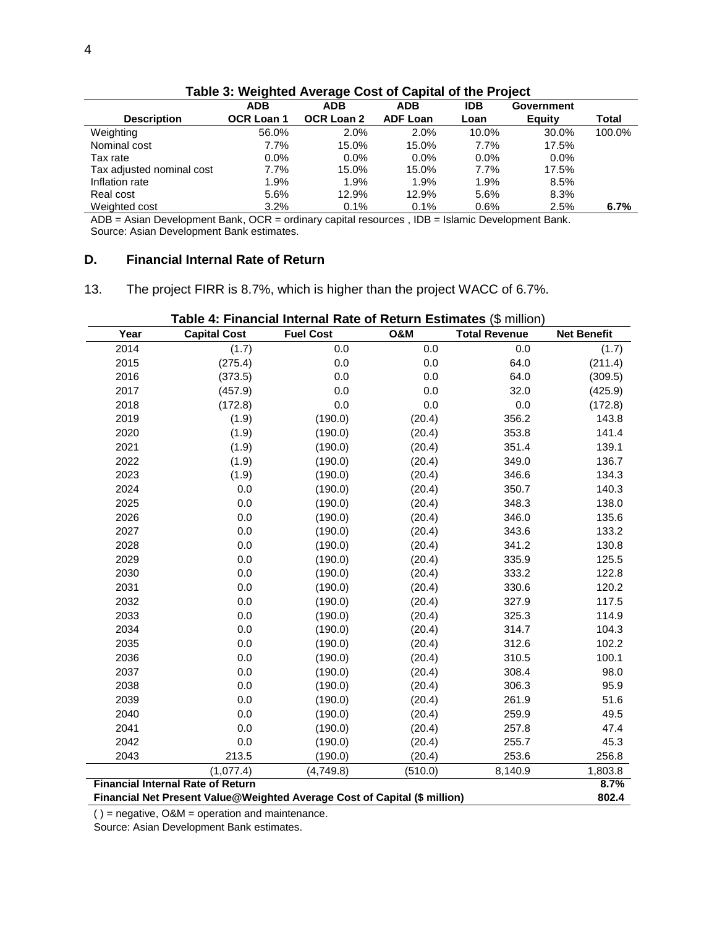| rable 5. Weighted Average Cost of Capital of the Froject |                   |                   |                 |            |            |        |  |
|----------------------------------------------------------|-------------------|-------------------|-----------------|------------|------------|--------|--|
|                                                          | <b>ADB</b>        | ADB               | ADB             | <b>IDB</b> | Government |        |  |
| <b>Description</b>                                       | <b>OCR Loan 1</b> | <b>OCR Loan 2</b> | <b>ADF Loan</b> | Loan       | Equity     | Total  |  |
| Weighting                                                | 56.0%             | $2.0\%$           | 2.0%            | 10.0%      | 30.0%      | 100.0% |  |
| Nominal cost                                             | $7.7\%$           | 15.0%             | 15.0%           | 7.7%       | 17.5%      |        |  |
| Tax rate                                                 | $0.0\%$           | $0.0\%$           | $0.0\%$         | $0.0\%$    | $0.0\%$    |        |  |
| Tax adjusted nominal cost                                | 7.7%              | 15.0%             | 15.0%           | $7.7\%$    | 17.5%      |        |  |
| Inflation rate                                           | 1.9%              | 1.9%              | 1.9%            | 1.9%       | 8.5%       |        |  |
| Real cost                                                | 5.6%              | 12.9%             | 12.9%           | 5.6%       | 8.3%       |        |  |
| Weighted cost                                            | 3.2%              | 0.1%              | 0.1%            | 0.6%       | 2.5%       | 6.7%   |  |

**Table 3: Weighted Average Cost of Capital of the Project**

ADB = Asian Development Bank, OCR = ordinary capital resources , IDB = Islamic Development Bank. Source: Asian Development Bank estimates.

### **D. Financial Internal Rate of Return**

13. The project FIRR is 8.7%, which is higher than the project WACC of 6.7%.

| <b>Table 4: Financial Internal Rate of Return Estimates (\$ million)</b>  |                                          |                  |                |                      |                    |  |  |  |
|---------------------------------------------------------------------------|------------------------------------------|------------------|----------------|----------------------|--------------------|--|--|--|
| Year                                                                      | <b>Capital Cost</b>                      | <b>Fuel Cost</b> | <b>O&amp;M</b> | <b>Total Revenue</b> | <b>Net Benefit</b> |  |  |  |
| 2014                                                                      | (1.7)                                    | 0.0              | 0.0            | 0.0                  | (1.7)              |  |  |  |
| 2015                                                                      | (275.4)                                  | 0.0              | 0.0            | 64.0                 | (211.4)            |  |  |  |
| 2016                                                                      | (373.5)                                  | 0.0              | 0.0            | 64.0                 | (309.5)            |  |  |  |
| 2017                                                                      | (457.9)                                  | 0.0              | 0.0            | 32.0                 | (425.9)            |  |  |  |
| 2018                                                                      | (172.8)                                  | 0.0              | 0.0            | 0.0                  | (172.8)            |  |  |  |
| 2019                                                                      | (1.9)                                    | (190.0)          | (20.4)         | 356.2                | 143.8              |  |  |  |
| 2020                                                                      | (1.9)                                    | (190.0)          | (20.4)         | 353.8                | 141.4              |  |  |  |
| 2021                                                                      | (1.9)                                    | (190.0)          | (20.4)         | 351.4                | 139.1              |  |  |  |
| 2022                                                                      | (1.9)                                    | (190.0)          | (20.4)         | 349.0                | 136.7              |  |  |  |
| 2023                                                                      | (1.9)                                    | (190.0)          | (20.4)         | 346.6                | 134.3              |  |  |  |
| 2024                                                                      | 0.0                                      | (190.0)          | (20.4)         | 350.7                | 140.3              |  |  |  |
| 2025                                                                      | 0.0                                      | (190.0)          | (20.4)         | 348.3                | 138.0              |  |  |  |
| 2026                                                                      | 0.0                                      | (190.0)          | (20.4)         | 346.0                | 135.6              |  |  |  |
| 2027                                                                      | 0.0                                      | (190.0)          | (20.4)         | 343.6                | 133.2              |  |  |  |
| 2028                                                                      | 0.0                                      | (190.0)          | (20.4)         | 341.2                | 130.8              |  |  |  |
| 2029                                                                      | 0.0                                      | (190.0)          | (20.4)         | 335.9                | 125.5              |  |  |  |
| 2030                                                                      | 0.0                                      | (190.0)          | (20.4)         | 333.2                | 122.8              |  |  |  |
| 2031                                                                      | 0.0                                      | (190.0)          | (20.4)         | 330.6                | 120.2              |  |  |  |
| 2032                                                                      | 0.0                                      | (190.0)          | (20.4)         | 327.9                | 117.5              |  |  |  |
| 2033                                                                      | 0.0                                      | (190.0)          | (20.4)         | 325.3                | 114.9              |  |  |  |
| 2034                                                                      | 0.0                                      | (190.0)          | (20.4)         | 314.7                | 104.3              |  |  |  |
| 2035                                                                      | 0.0                                      | (190.0)          | (20.4)         | 312.6                | 102.2              |  |  |  |
| 2036                                                                      | 0.0                                      | (190.0)          | (20.4)         | 310.5                | 100.1              |  |  |  |
| 2037                                                                      | 0.0                                      | (190.0)          | (20.4)         | 308.4                | 98.0               |  |  |  |
| 2038                                                                      | 0.0                                      | (190.0)          | (20.4)         | 306.3                | 95.9               |  |  |  |
| 2039                                                                      | 0.0                                      | (190.0)          | (20.4)         | 261.9                | 51.6               |  |  |  |
| 2040                                                                      | 0.0                                      | (190.0)          | (20.4)         | 259.9                | 49.5               |  |  |  |
| 2041                                                                      | 0.0                                      | (190.0)          | (20.4)         | 257.8                | 47.4               |  |  |  |
| 2042                                                                      | 0.0                                      | (190.0)          | (20.4)         | 255.7                | 45.3               |  |  |  |
| 2043                                                                      | 213.5                                    | (190.0)          | (20.4)         | 253.6                | 256.8              |  |  |  |
|                                                                           | (1,077.4)                                | (4,749.8)        | (510.0)        | 8,140.9              | 1,803.8            |  |  |  |
|                                                                           | <b>Financial Internal Rate of Return</b> |                  |                |                      | 8.7%<br>802.4      |  |  |  |
| Financial Net Present Value@Weighted Average Cost of Capital (\$ million) |                                          |                  |                |                      |                    |  |  |  |

**Table 4: Financial Internal Rate of Return Estimates** (\$ million)

 $( )$  = negative, O&M = operation and maintenance.

Source: Asian Development Bank estimates.